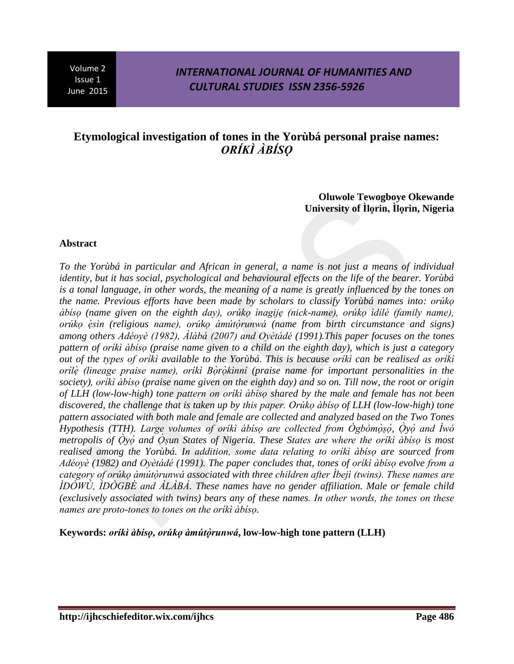### *INTERNATIONAL JOURNAL OF HUMANITIES AND CULTURAL STUDIES ISSN 2356-5926*

# **Etymological investigation of tones in the Yorùbá personal praise names:** *<i>ORÍKÌ ÀBÍSO*

**Oluwole Tewogboye Okewande University of Ilorin, Ilorin, Nigeria** 

#### **Abstract**

*To the Yorùbá in particular and African in general, a name is not just a means of individual identity, but it has social, psychological and behavioural effects on the life of the bearer. Yorùbá is a tonal language, in other words, the meaning of a name is greatly influenced by the tones on the name. Previous efforts have been made by scholars to classify Yorùbá names into: ọ dbiso (name given on the eighth day), orúko inagije (nick-name), orúko idilé (family name), <i><u>orúko èsin (religious name), orúko àmútòrunwá (name from birth circumstance and signs)*</u> among others Adéoyè (1982), Alàbá (2007) and Oyètádé (1991). This paper focuses on the tones *pattern of oriki àbiso (praise name given to a child on the eighth day), which is just a category out of the types of oriki available to the Yorùbá. This is because oriki can be realised as oriki orilè (lineage praise name), orikì Bòròkinni (praise name for important personalities in the society) ọ (praise name given on the eighth day) and so on. Till now, the root or origin of LLH (low-low-high) tone ọ shared by the male and female has not been*  discovered, the challenge that is taken up by this paper. Orúko àbiso of LLH (low-low-high) tone *pattern associated with both male and female are collected and analyzed based on the Two Tones Hypothesis (TTH). Large volumes of orikì àbiso are collected from Ogbómòṣọ, Ọyọ metropolis of Oyo and Osun States of Nigeria. These States are where the oriki àbiso is most* realised among the Yorùbá. In addition, some data relating to orikì àbiso are sourced from *Adéoyè* (1982) and Oyètádé (1991). The paper concludes that, tones of orikì àbiso evolve from a category of oruko àmutòrunwa associated with three children after Ibejì (twins). These names are *IDOWU, IDOGBE and ALABA. These names have no gender affiliation. Male or female child (exclusively associated with twins) bears any of these names. In other words, the tones on these names are proto-tones to tones on the oriki àbiso.* 

Keywords: *orikì àbiso, orúko àmútòrunwá*, low-low-high tone pattern (LLH)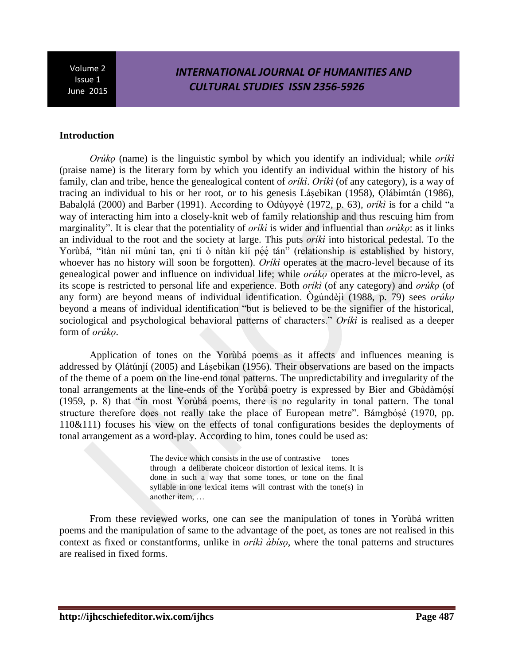## *INTERNATIONAL JOURNAL OF HUMANITIES AND CULTURAL STUDIES ISSN 2356-5926*

### **Introduction**

*Orúko* (name) is the linguistic symbol by which you identify an individual; while *oríki* (praise name) is the literary form by which you identify an individual within the history of his family, clan and tribe, hence the genealogical content of *oriki. Oriki* (of any category), is a way of tracing an individual to his or her root, or to his genesis Lásebìkan (1958), Qlábímtán (1986), Babalolá (2000) and Barber (1991). According to Odùyoyè (1972, p. 63), *orikì* is for a child "a way of interacting him into a closely-knit web of family relationship and thus rescuing him from marginality". It is clear that the potentiality of *oriki* is wider and influential than *oriko*: as it links an individual to the root and the society at large. This puts *oriki* into historical pedestal. To the Yorùbá, "ìtàn nií múni tan, eni tí ò nítàn kìí péé tán" (relationship is established by history, whoever has no history will soon be forgotten). Oriki operates at the macro-level because of its genealogical power and influence on individual life; while *oruko* operates at the micro-level, as its scope is restricted to personal life and experience. Both *oriki* (of any category) and *orúko* (of any form) are beyond means of individual identification. Ogúndèjì (1988, p. 79) sees *orúko* beyond a means of individual identification "but is believed to be the signifier of the historical, sociological and psychological behavioral patterns of characters." *Oriki* is realised as a deeper form of *orúko*.

Application of tones on the Yorùbá poems as it affects and influences meaning is addressed by Ọ látúnjí (2005) and Lásebìkan (1956). Their observations are based on the impacts of the theme of a poem on the line-end tonal patterns. The unpredictability and irregularity of the tonal arrangements at the line-ends of the Yorùbá poetry is expressed by Bier and Gbàdàmósí  $(1959, p. 8)$  that "in most Yoruba poems, there is no regularity in tonal pattern. The tonal structure therefore does not really take the place of European metre". Bámgbósé (1970, pp. 110&111) focuses his view on the effects of tonal configurations besides the deployments of tonal arrangement as a word-play. According to him, tones could be used as:

> The device which consists in the use of contrastive tones through a deliberate choiceor distortion of lexical items. It is done in such a way that some tones, or tone on the final syllable in one lexical items will contrast with the tone(s) in another item, ...

From these reviewed works, one can see the manipulation of tones in Yorùbá written poems and the manipulation of same to the advantage of the poet, as tones are not realised in this context as fixed or constantforms, unlike in *orikì àbiso*, where the tonal patterns and structures are realised in fixed forms.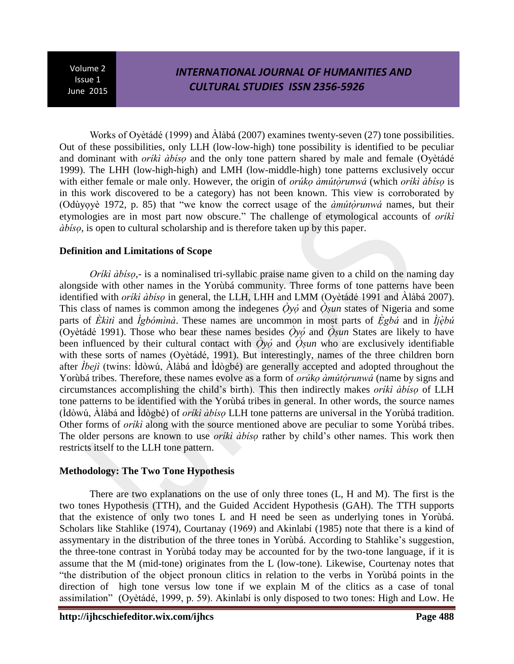# *INTERNATIONAL JOURNAL OF HUMANITIES AND CULTURAL STUDIES ISSN 2356-5926*

Works of Ovètádé (1999) and  $\hat{A}$ làbá (2007) examines twenty-seven (27) tone possibilities. Out of these possibilities, only LLH (low-low-high) tone possibility is identified to be peculiar and dominant with *orikì àbiso* and the only tone pattern shared by male and female (Oyètádé 1999). The LHH (low-high-high) and LMH (low-middle-high) tone patterns exclusively occur with either female or male only. However, the origin of *orúko àmútòrunwá* (which *oríkì àbiso* is in this work discovered to be a category) has not been known. This view is corroborated by (Odùyoyè 1972, p. 85) that "we know the correct usage of the *àmutorunwa* names, but their etymologies are in most part now obscure." The challenge of etymological accounts of *oriki dbiso*, is open to cultural scholarship and is therefore taken up by this paper.

### **Definition and Limitations of Scope**

*Orikì àbiso*,- is a nominalised tri-syllabic praise name given to a child on the naming day alongside with other names in the Yorùbá community. Three forms of tone patterns have been identified with *oriki àbiso* in general, the LLH, LHH and LMM (Oyètádé 1991 and Àlàbá 2007). This class of names is common among the indegenes  $\dot{Q}y\dot{\phi}$  and  $\dot{Q}y\dot{u}$  states of Nigeria and some parts of Ekiti and *Igbómina*. These names are uncommon in most parts of Egbá and in *Ijèbú* (Oyetade 1991). Those who bear these names besides  $\partial y \dot{\alpha}$  and  $\partial s u$  States are likely to have been influenced by their cultural contact with  $\dot{O}y\dot{o}$  and  $\dot{O}y\dot{a}$  who are exclusively identifiable with these sorts of names (Oyètádé, 1991). But interestingly, names of the three children born after  $\hat{I}$ beji (twins:  $\hat{I}$ dòwú,  $\hat{A}$ làbá and  $\hat{I}$ dògbé) are generally accepted and adopted throughout the Yorùbá tribes. Therefore, these names evolve as a form of *orúko àmútòrunwá* (name by signs and circumstances accomplishing the child's birth). This then indirectly makes *orikì àbiso* of LLH tone patterns to be identified with the Yorùbá tribes in general. In other words, the source names (Idòwú, Alàbá and Idògbé) of *oriki àbiso* LLH tone patterns are universal in the Yorùbá tradition. Other forms of *oriki* along with the source mentioned above are peculiar to some Yorùbá tribes. The older persons are known to use *oriki àbiso* rather by child's other names. This work then restricts itself to the LLH tone pattern.

### **Methodology: The Two Tone Hypothesis**

There are two explanations on the use of only three tones (L, H and M). The first is the two tones Hypothesis (TTH), and the Guided Accident Hypothesis (GAH). The TTH supports that the existence of only two tones L and H need be seen as underlying tones in Yorùbá. Scholars like Stahlike (1974), Courtanay (1969) and Akinlabi (1985) note that there is a kind of assymentary in the distribution of the three tones in Yorùbá. According to Stahlike's suggestion, the three-tone contrast in Yorùbá today may be accounted for by the two-tone language, if it is assume that the M (mid-tone) originates from the L (low-tone). Likewise, Courtenay notes that "the distribution of the object pronoun clitics in relation to the verbs in Yorùbá points in the direction of high tone versus low tone if we explain M of the clitics as a case of tonal assimilation" (Oyètádé, 1999, p. 59). Akinlabí is only disposed to two tones: High and Low. He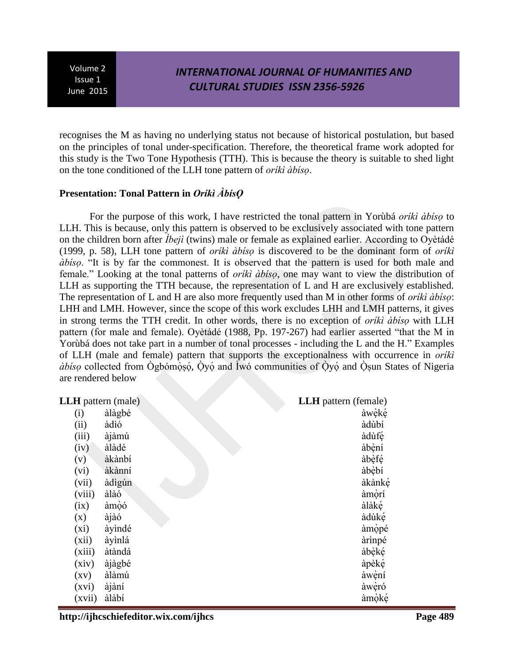### *INTERNATIONAL JOURNAL OF HUMANITIES AND CULTURAL STUDIES ISSN 2356-5926*

recognises the M as having no underlying status not because of historical postulation, but based on the principles of tonal under-specification. Therefore, the theoretical frame work adopted for this study is the Two Tone Hypothesis (TTH). This is because the theory is suitable to shed light on the tone conditioned of the LLH tone pattern of *ọ*.

### **Presentation: Tonal Pattern in Orikì ÀbisQ**

For the purpose of this work, I have restricted the tonal pattern in Yorùbá *orikì àbiso* to LLH. This is because, only this pattern is observed to be exclusively associated with tone pattern on the children born after *Ibeji* (twins) male or female as explained earlier. According to Oyètádé (1999, p. 58), LLH tone pattern of *orikì àbiso* is discovered to be the dominant form of *orikì abiso*. "It is by far the commonest. It is observed that the pattern is used for both male and female." Looking at the tonal patterns of *orikì àbiso*, one may want to view the distribution of LLH as supporting the TTH because, the representation of L and H are exclusively established. The representation of L and H are also more frequently used than M in other forms of *oriki*  $\partial \phi$ : LHH and LMH. However, since the scope of this work excludes LHH and LMH patterns, it gives in strong terms the TTH credit. In other words, there is no exception of *oriki àbiso* with LLH pattern (for male and female). Oyètadé (1988, Pp. 197-267) had earlier asserted "that the M in Yorùbá does not take part in a number of tonal processes - including the L and the H." Examples of LLH (male and female) pattern that supports the exceptionalness with occurrence in *oriki abiso* collected from Ogbómosó, Oyó and Iwó communities of Oyó and Osun States of Nigeria are rendered below

### **LLH** pattern (male) **LLH** pattern (female)

| <b>II</b> paulin (marc) |        | $LLLI$ panelli (Temare) |
|-------------------------|--------|-------------------------|
| (i)                     | àlàgbé | àwèké                   |
| (ii)                    | àdìó   | àdùbí                   |
| (iii)                   | àjàmú  | àdùfé                   |
| (iv)                    | àlàdé  | àbèní                   |
| (v)                     | àkànbí | àbèfé                   |
| (vi)                    | àkànní | àbèbí                   |
| (vii)                   | àdìgún | àkànké                  |
| (viii)                  | àlàó   | àmòrí                   |
| (ix)                    | àmòó   | àlàké                   |
| (x)                     | àjàó   | àdùké                   |
| $(x_i)$                 | àyìndé | àmòpé                   |
| (xii)                   | àyìnlá | àrìnpé                  |
| (xiii)                  | àtàndá | àbèké                   |
| (xiv)                   | àjàgbé | àpèké                   |
| $\left( xy\right)$      | àlàmú  | àwèní                   |
| (xvi)                   | àjàní  | àwèró                   |
| (xvii)                  | àlàbí  | àmòké                   |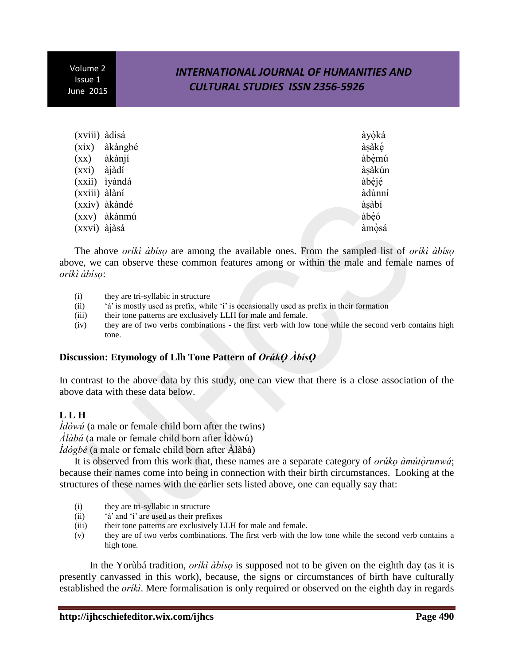# *INTERNATIONAL JOURNAL OF HUMANITIES AND CULTURAL STUDIES ISSN 2356-5926*

| (xviii) àdisá      |               | àyòká  |
|--------------------|---------------|--------|
| (xix)              | àkàngbé       | àsàké  |
| $\left( xx\right)$ | àkànjí        | àbèmú  |
| (xxi)              | àjàdí         | àşàkún |
|                    | (xxii) iyàndá | àbèjé  |
| (xxiii) àlàní      |               | àdùnní |
|                    | (xxiv) àkàndé | àşàbí  |
| (XXV)              | àkànmú        | àbèó   |
| (xxvi) àjàsá       |               | àmòsá  |

The above *oriki àbiso* are among the available ones. From the sampled list of *oriki àbiso* above, we can observe these common features among or within the male and female names of  *ọ*:

- (i) they are tri-syllabic in structure
- (ii)  $\hat{a}$  is mostly used as prefix, while 'i' is occasionally used as prefix in their formation
- (iii) their tone patterns are exclusively LLH for male and female.
- (iv) they are of two verbs combinations the first verb with low tone while the second verb contains high tone.

### **Discussion: Etymology of Llh Tone Pattern of OrúkO AbisO**

In contrast to the above data by this study, one can view that there is a close association of the above data with these data below.

### **L L H**

 $\hat{I}d\hat{o}w\hat{u}$  (a male or female child born after the twins)  $\hat{A}$ *làbá* (a male or female child born after  $\hat{I}$ dòwú) *ldògbé* (a male or female child born after Àlàbá)

It is observed from this work that, these names are a separate category of *oruko àmutòrunwa*; because their names come into being in connection with their birth circumstances. Looking at the structures of these names with the earlier sets listed above, one can equally say that:

- (i) they are tri-syllabic in structure
- $(ii)$  ' a' and 'i' are used as their prefixes
- (iii) their tone patterns are exclusively LLH for male and female.
- (v) they are of two verbs combinations. The first verb with the low tone while the second verb contains a high tone.

In the Yorùbá tradition, *orikì àbiso* is supposed not to be given on the eighth day (as it is presently canvassed in this work), because, the signs or circumstances of birth have culturally established the *oriki*. Mere formalisation is only required or observed on the eighth day in regards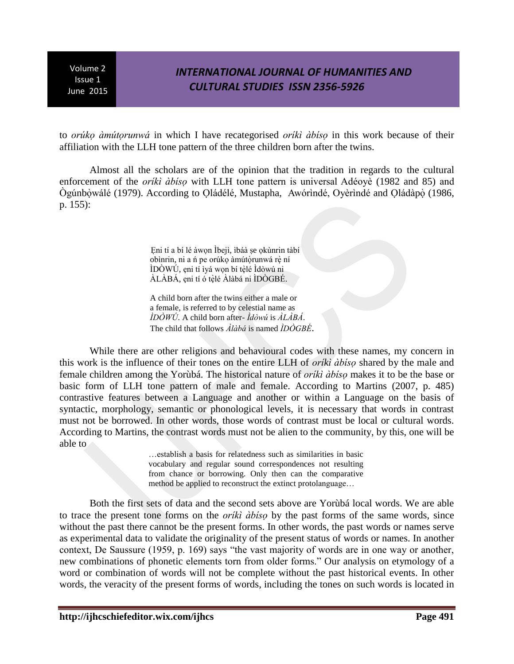## *INTERNATIONAL JOURNAL OF HUMANITIES AND CULTURAL STUDIES ISSN 2356-5926*

to *orûko àmútorunwá* in which I have recategorised *oríkì àbiso* in this work because of their affiliation with the LLH tone pattern of the three children born after the twins.

Almost all the scholars are of the opinion that the tradition in regards to the cultural enforcement of the *orikì àbiso* with LLH tone pattern is universal Adéoyè (1982 and 85) and Ògúnbọ wálé (1979). According to Oládélé, Mustapha, Awórindé, Oyèrindé and Oládàpọ (1986, p. 155):

> Eni tí a bí lé àwon Ìbejì, ibáà se okùnrin tàbí obìnrin, ni a n pe orúko àmútòrunwá rè ní IDOWU, eni tí lyá wọn bí tèlé Idòwú  $\overrightarrow{\mathrm{ALABA}}$ , ẹni tí ó tèlé  $\overrightarrow{\mathrm{Alab}}$ á ni IDÒGBÉ.

A child born after the twins either a male or a female, is referred to by celestial name as  $\hat{I}D\hat{O}W\hat{U}$ . A child born after- $\hat{I}d\hat{O}W\hat{u}$  is  $\hat{A}L\hat{A}B\hat{A}$ . The child that follows  $\hat{A}$ làbá is named  $\hat{IDOGBE}$ .

While there are other religions and behavioural codes with these names, my concern in this work is the influence of their tones on the entire LLH of *oriki àbiso* shared by the male and female children among the Yorùbá. The historical nature of *oriki àbiso* makes it to be the base or basic form of LLH tone pattern of male and female. According to Martins (2007, p. 485) contrastive features between a Language and another or within a Language on the basis of syntactic, morphology, semantic or phonological levels, it is necessary that words in contrast must not be borrowed. In other words, those words of contrast must be local or cultural words. According to Martins, the contrast words must not be alien to the community, by this, one will be able to

> ... establish a basis for relatedness such as similarities in basic vocabulary and regular sound correspondences not resulting from chance or borrowing. Only then can the comparative method be applied to reconstruct the extinct protolanguage...

Both the first sets of data and the second sets above are Yorùbá local words. We are able to trace the present tone forms on the *oriki abiso* by the past forms of the same words, since without the past there cannot be the present forms. In other words, the past words or names serve as experimental data to validate the originality of the present status of words or names. In another context, De Saussure (1959, p. 169) says "the vast majority of words are in one way or another, new combinations of phonetic elements torn from older forms." Our analysis on etymology of a word or combination of words will not be complete without the past historical events. In other words, the veracity of the present forms of words, including the tones on such words is located in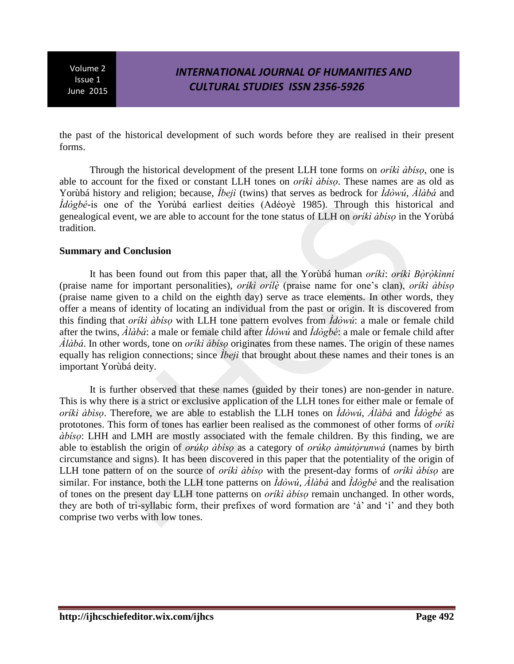# *INTERNATIONAL JOURNAL OF HUMANITIES AND CULTURAL STUDIES ISSN 2356-5926*

the past of the historical development of such words before they are realised in their present forms.

Through the historical development of the present LLH tone forms on *orikì àbiso*, one is able to account for the fixed or constant LLH tones on *orikì àbiso*. These names are as old as Yorùbá history and religion; because, *Ìbejì* (twins) that serves as bedrock for  $\hat{I}d\hat{o}w\hat{u}$ ,  $\hat{A}l\hat{a}b\hat{a}$  and  $\hat{I}d\hat{o}gb\hat{e}$ -is one of the Yoruba earliest deities (Adeove 1985). Through this historical and genealogical event, we are able to account for the tone status of LLH on *oriki àbiso* in the Yorùbá tradition.

#### **Summary and Conclusion**

It has been found out from this paper that, all the Yorùbá human *oriki: oriki Bòròkìnni* (praise name for important personalities), *orikì orilè* (praise name for one's clan), *orikì àbiso* (praise name given to a child on the eighth day) serve as trace elements. In other words, they offer a means of identity of locating an individual from the past or origin. It is discovered from this finding that *oriki àbiso* with LLH tone pattern evolves from  $\hat{d}d\hat{v}w\hat{u}$ : a male or female child after the twins,  $\hat{A}$ làbá: a male or female child after  $\hat{A}$ dòwú and  $\hat{A}$ dògbé: a male or female child after  $\hat{A}$ *làbá*. In other words, tone on *orikì àbiso* originates from these names. The origin of these names equally has religion connections; since  $\hat{I}$  that brought about these names and their tones is an important Yorùbá deity.

It is further observed that these names (guided by their tones) are non-gender in nature. This is why there is a strict or exclusive application of the LLH tones for either male or female of *orikì àbìso*. Therefore, we are able to establish the LLH tones on  $\hat{I}d\hat{o}w\hat{u}$ ,  $\hat{A}l\hat{a}b\hat{a}$  and  $\hat{I}d\hat{o}gb\hat{e}$  as prototones. This form of tones has earlier been realised as the commonest of other forms of *oriki dbiso*: LHH and LMH are mostly associated with the female children. By this finding, we are able to establish the origin of *oruko àbiso* as a category of *oruko àmutorunwa* (names by birth circumstance and signs). It has been discovered in this paper that the potentiality of the origin of LLH tone pattern of on the source of *oriki àbiso* with the present-day forms of *oriki àbiso* are similar. For instance, both the LLH tone patterns on  $\hat{I}d\hat{o}w\hat{u}$ ,  $\hat{A}l\hat{a}b\hat{a}$  and  $\hat{I}d\hat{o}gb\hat{e}$  and the realisation of tones on the present day LLH tone patterns on *oriki àbiso* remain unchanged. In other words, they are both of tri-syllabic form, their prefixes of word formation are 'à' and 'i' and they both comprise two verbs with low tones.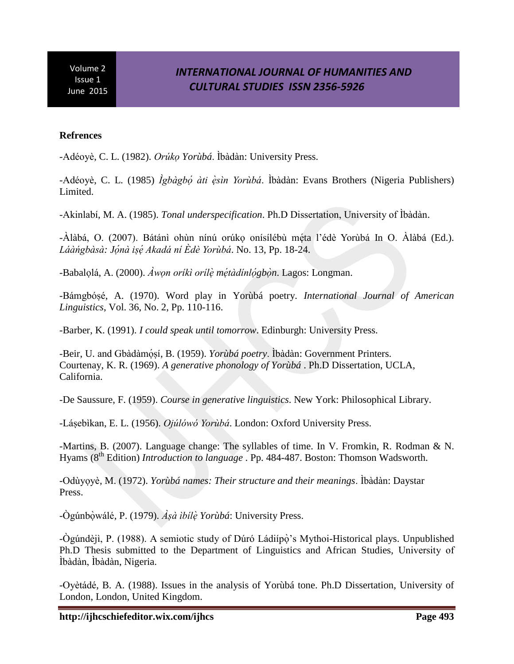# *INTERNATIONAL JOURNAL OF HUMANITIES AND CULTURAL STUDIES ISSN 2356-5926*

#### **Refrences**

- Adéoyè, C. L. (1982). *Orúko Yorùbá*. Ìbàdàn: University Press.

-Adéoyè, C. L. (1985) *Ìgbàgbó àti èsìn Yorùbá*. Ìbàdàn: Evans Brothers (Nigeria Publishers) Limited.

- Akinlabí, M. A. (1985). *Tonal underspecification*. Ph.D Dissertation, University of Ibàdàn.

-Álàbá, O. (2007). Bátánì ohùn nínú orúko onísílébù méta l'édè Yorùbá In O. Álàbá (Ed.). Láàngbàsà: Jónà isé Akadá ní Èdè Yorùbá. No. 13, Pp. 18-24.

-Babalọlá, A. (2000). *Awọn orikì orilè métàdinlógbòn*. Lagos: Longman.

-Bámgbósé, A. (1970). Word play in Yorùbá poetry. *International Journal of American Linguistics*, Vol. 36, No. 2, Pp. 110-116.

-Barber, K. (1991). *I could speak until tomorrow*. Edinburgh: University Press.

-Beir, U. and Gbàdàmósí, B. (1959). *Yorùbá poetry*. Ìbàdàn: Government Printers. Courtenay, K. R. (1969). *A generative phonology of Yorùbá* . Ph.D Dissertation, UCLA, California.

-De Saussure, F. (1959). *Course in generative linguistics*. New York: Philosophical Library.

-Láșebìkan, E. L. (1956). *Ojúlówó Yorùbá*. London: Oxford University Press.

-Martins, B. (2007). Language change: The syllables of time. In V. Fromkin, R. Rodman & N. Hyams (8th Edition) *Introduction to language* . Pp. 484-487. Boston: Thomson Wadsworth.

-Odùyoyè, M. (1972). *Yorùbá names: Their structure and their meanings*. Ìbàdàn: Daystar Press.

-Ògúnbòwálé, P. (1979). *Àsà ìbílè Yorùbá*: University Press.

-Ògúndèjì, P. (1988). A semiotic study of Dúró Ládiípọ̀'s Mythoi-Historical plays. Unpublished Ph.D Thesis submitted to the Department of Linguistics and African Studies, University of Ìbàdàn, Ìbàdàn, Nigeria.

-Oyètádé, B. A. (1988). Issues in the analysis of Yorùbá tone. Ph.D Dissertation, University of London, London, United Kingdom.